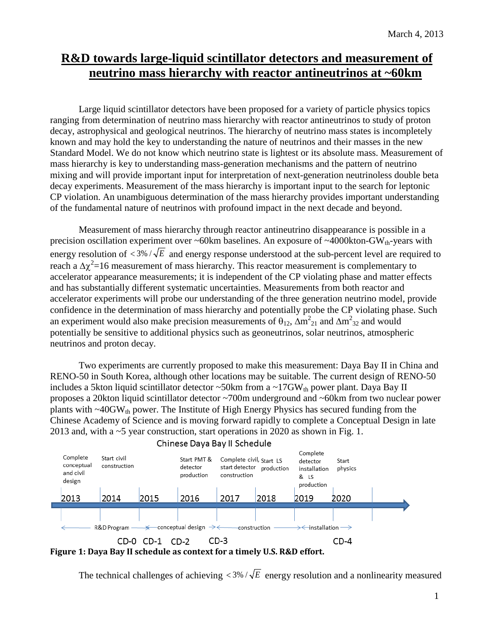# **R&D towards large-liquid scintillator detectors and measurement of neutrino mass hierarchy with reactor antineutrinos at ~60km**

Large liquid scintillator detectors have been proposed for a variety of particle physics topics ranging from determination of neutrino mass hierarchy with reactor antineutrinos to study of proton decay, astrophysical and geological neutrinos. The hierarchy of neutrino mass states is incompletely known and may hold the key to understanding the nature of neutrinos and their masses in the new Standard Model. We do not know which neutrino state is lightest or its absolute mass. Measurement of mass hierarchy is key to understanding mass-generation mechanisms and the pattern of neutrino mixing and will provide important input for interpretation of next-generation neutrinoless double beta decay experiments. Measurement of the mass hierarchy is important input to the search for leptonic CP violation. An unambiguous determination of the mass hierarchy provides important understanding of the fundamental nature of neutrinos with profound impact in the next decade and beyond.

Measurement of mass hierarchy through reactor antineutrino disappearance is possible in a precision oscillation experiment over  $\sim 60 \text{km}$  baselines. An exposure of  $\sim 4000 \text{kton-GW}_{th}$ -years with energy resolution of  $\langle 3\% / \sqrt{E} \rangle$  and energy response understood at the sub-percent level are required to reach a  $\Delta \chi^2$ =16 measurement of mass hierarchy. This reactor measurement is complementary to accelerator appearance measurements; it is independent of the CP violating phase and matter effects and has substantially different systematic uncertainties. Measurements from both reactor and accelerator experiments will probe our understanding of the three generation neutrino model, provide confidence in the determination of mass hierarchy and potentially probe the CP violating phase. Such an experiment would also make precision measurements of  $\theta_{12}$ ,  $\Delta m^2_{21}$  and  $\Delta m^2_{32}$  and would potentially be sensitive to additional physics such as geoneutrinos, solar neutrinos, atmospheric neutrinos and proton decay.

Two experiments are currently proposed to make this measurement: Daya Bay II in China and RENO-50 in South Korea, although other locations may be suitable. The current design of RENO-50 includes a 5kton liquid scintillator detector  $\sim$  50km from a  $\sim$  17GW<sub>th</sub> power plant. Daya Bay II proposes a 20kton liquid scintillator detector ~700m underground and ~60km from two nuclear power plants with  $\sim$ 40GW<sub>th</sub> power. The Institute of High Energy Physics has secured funding from the Chinese Academy of Science and is moving forward rapidly to complete a Conceptual Design in late 2013 and, with a ~5 year construction, start operations in 2020 as shown in Fig. 1.





The technical challenges of achieving  $\langle 3\% / \sqrt{E}$  energy resolution and a nonlinearity measured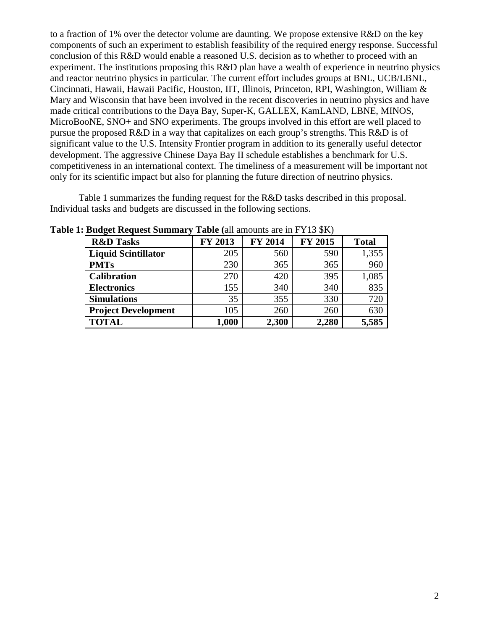to a fraction of 1% over the detector volume are daunting. We propose extensive R&D on the key components of such an experiment to establish feasibility of the required energy response. Successful conclusion of this R&D would enable a reasoned U.S. decision as to whether to proceed with an experiment. The institutions proposing this R&D plan have a wealth of experience in neutrino physics and reactor neutrino physics in particular. The current effort includes groups at BNL, UCB/LBNL, Cincinnati, Hawaii, Hawaii Pacific, Houston, IIT, Illinois, Princeton, RPI, Washington, William & Mary and Wisconsin that have been involved in the recent discoveries in neutrino physics and have made critical contributions to the Daya Bay, Super-K, GALLEX, KamLAND, LBNE, MINOS, MicroBooNE, SNO+ and SNO experiments. The groups involved in this effort are well placed to pursue the proposed  $R&D$  in a way that capitalizes on each group's strengths. This  $R&D$  is of significant value to the U.S. Intensity Frontier program in addition to its generally useful detector development. The aggressive Chinese Daya Bay II schedule establishes a benchmark for U.S. competitiveness in an international context. The timeliness of a measurement will be important not only for its scientific impact but also for planning the future direction of neutrino physics.

Table 1 summarizes the funding request for the R&D tasks described in this proposal. Individual tasks and budgets are discussed in the following sections.

| <b>R&amp;D Tasks</b>       | <b>FY 2013</b> | <b>FY 2014</b> | <b>FY 2015</b> | <b>Total</b> |
|----------------------------|----------------|----------------|----------------|--------------|
| <b>Liquid Scintillator</b> | 205            | 560            | 590            | 1,355        |
| <b>PMTs</b>                | 230            | 365            | 365            | 960          |
| <b>Calibration</b>         | 270            | 420            | 395            | 1,085        |
| <b>Electronics</b>         | 155            | 340            | 340            | 835          |
| <b>Simulations</b>         | 35             | 355            | 330            | 720          |
| <b>Project Development</b> | 105            | 260            | 260            | 630          |
| <b>TOTAL</b>               | 1,000          | 2,300          | 2,280          | 5,585        |

**Table 1: Budget Request Summary Table (**all amounts are in FY13 \$K)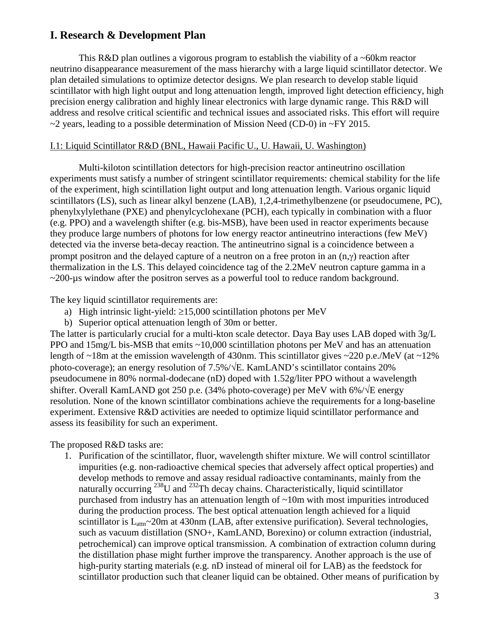## **I. Research & Development Plan**

This R&D plan outlines a vigorous program to establish the viability of a ~60km reactor neutrino disappearance measurement of the mass hierarchy with a large liquid scintillator detector. We plan detailed simulations to optimize detector designs. We plan research to develop stable liquid scintillator with high light output and long attenuation length, improved light detection efficiency, high precision energy calibration and highly linear electronics with large dynamic range. This R&D will address and resolve critical scientific and technical issues and associated risks. This effort will require  $\sim$ 2 years, leading to a possible determination of Mission Need (CD-0) in  $\sim$ FY 2015.

#### I.1: Liquid Scintillator R&D (BNL, Hawaii Pacific U., U. Hawaii, U. Washington)

Multi-kiloton scintillation detectors for high-precision reactor antineutrino oscillation experiments must satisfy a number of stringent scintillator requirements: chemical stability for the life of the experiment, high scintillation light output and long attenuation length. Various organic liquid scintillators (LS), such as linear alkyl benzene (LAB), 1,2,4-trimethylbenzene (or pseudocumene, PC), phenylxylylethane (PXE) and phenylcyclohexane (PCH), each typically in combination with a fluor (e.g. PPO) and a wavelength shifter (e.g. bis-MSB), have been used in reactor experiments because they produce large numbers of photons for low energy reactor antineutrino interactions (few MeV) detected via the inverse beta-decay reaction. The antineutrino signal is a coincidence between a prompt positron and the delayed capture of a neutron on a free proton in an (n,γ) reaction after thermalization in the LS. This delayed coincidence tag of the 2.2MeV neutron capture gamma in a ~200-µs window after the positron serves as a powerful tool to reduce random background.

The key liquid scintillator requirements are:

- a) High intrinsic light-yield:  $\geq 15,000$  scintillation photons per MeV
- b) Superior optical attenuation length of 30m or better.

The latter is particularly crucial for a multi-kton scale detector. Daya Bay uses LAB doped with 3g/L PPO and 15mg/L bis-MSB that emits ~10,000 scintillation photons per MeV and has an attenuation length of  $\sim$ 18m at the emission wavelength of 430nm. This scintillator gives  $\sim$ 220 p.e./MeV (at  $\sim$ 12%) photo-coverage); an energy resolution of  $7.5\%/\sqrt{E}$ . KamLAND's scintillator contains 20% pseudocumene in 80% normal-dodecane (nD) doped with 1.52g/liter PPO without a wavelength shifter. Overall KamLAND got 250 p.e. (34% photo-coverage) per MeV with 6%/ $\sqrt{k}$  energy resolution. None of the known scintillator combinations achieve the requirements for a long-baseline experiment. Extensive R&D activities are needed to optimize liquid scintillator performance and assess its feasibility for such an experiment.

The proposed R&D tasks are:

1. Purification of the scintillator, fluor, wavelength shifter mixture. We will control scintillator impurities (e.g. non-radioactive chemical species that adversely affect optical properties) and develop methods to remove and assay residual radioactive contaminants, mainly from the naturally occurring <sup>238</sup>U and <sup>232</sup>Th decay chains. Characteristically, liquid scintillator purchased from industry has an attenuation length of ~10m with most impurities introduced during the production process. The best optical attenuation length achieved for a liquid scintillator is  $L_{attn} \sim 20$ m at 430nm (LAB, after extensive purification). Several technologies, such as vacuum distillation (SNO+, KamLAND, Borexino) or column extraction (industrial, petrochemical) can improve optical transmission. A combination of extraction column during the distillation phase might further improve the transparency. Another approach is the use of high-purity starting materials (e.g. nD instead of mineral oil for LAB) as the feedstock for scintillator production such that cleaner liquid can be obtained. Other means of purification by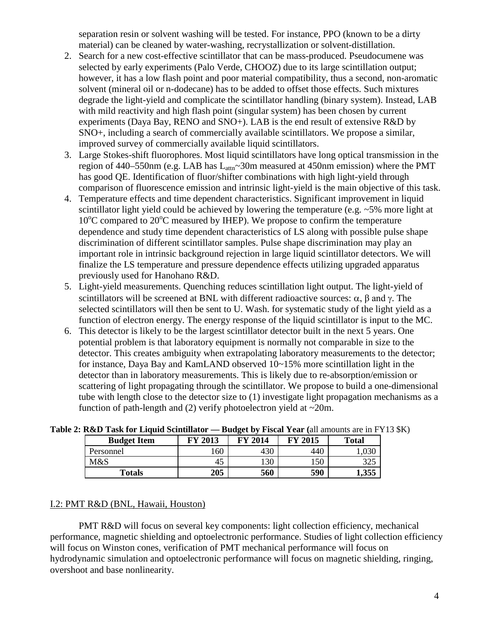separation resin or solvent washing will be tested. For instance, PPO (known to be a dirty material) can be cleaned by water-washing, recrystallization or solvent-distillation.

- 2. Search for a new cost-effective scintillator that can be mass-produced. Pseudocumene was selected by early experiments (Palo Verde, CHOOZ) due to its large scintillation output; however, it has a low flash point and poor material compatibility, thus a second, non-aromatic solvent (mineral oil or n-dodecane) has to be added to offset those effects. Such mixtures degrade the light-yield and complicate the scintillator handling (binary system). Instead, LAB with mild reactivity and high flash point (singular system) has been chosen by current experiments (Daya Bay, RENO and SNO+). LAB is the end result of extensive R&D by SNO+, including a search of commercially available scintillators. We propose a similar, improved survey of commercially available liquid scintillators.
- 3. Large Stokes-shift fluorophores. Most liquid scintillators have long optical transmission in the region of 440–550nm (e.g. LAB has  $L_{\text{attn}}$ ~30m measured at 450nm emission) where the PMT has good QE. Identification of fluor/shifter combinations with high light-yield through comparison of fluorescence emission and intrinsic light-yield is the main objective of this task.
- 4. Temperature effects and time dependent characteristics. Significant improvement in liquid scintillator light yield could be achieved by lowering the temperature (e.g. ~5% more light at 10°C compared to 20°C measured by IHEP). We propose to confirm the temperature dependence and study time dependent characteristics of LS along with possible pulse shape discrimination of different scintillator samples. Pulse shape discrimination may play an important role in intrinsic background rejection in large liquid scintillator detectors. We will finalize the LS temperature and pressure dependence effects utilizing upgraded apparatus previously used for Hanohano R&D.
- 5. Light-yield measurements. Quenching reduces scintillation light output. The light-yield of scintillators will be screened at BNL with different radioactive sources:  $\alpha$ ,  $\beta$  and  $\gamma$ . The selected scintillators will then be sent to U. Wash. for systematic study of the light yield as a function of electron energy. The energy response of the liquid scintillator is input to the MC.
- 6. This detector is likely to be the largest scintillator detector built in the next 5 years. One potential problem is that laboratory equipment is normally not comparable in size to the detector. This creates ambiguity when extrapolating laboratory measurements to the detector; for instance, Daya Bay and KamLAND observed 10~15% more scintillation light in the detector than in laboratory measurements. This is likely due to re-absorption/emission or scattering of light propagating through the scintillator. We propose to build a one-dimensional tube with length close to the detector size to (1) investigate light propagation mechanisms as a function of path-length and (2) verify photoelectron yield at  $\sim$ 20m.

| <b>Budget Item</b> | FY 2013 | <b>FY 2014</b> | FY 2015 | <b>Total</b> |
|--------------------|---------|----------------|---------|--------------|
| Personnel          | 60      | 430            | 440     | UCU. I       |
| M&S                | 45      | 130            | 150     | 325          |
| Totals             | 205     | 560            | 590     | 1,355        |

**Table 2: R&D Task for Liquid Scintillator — Budget by Fiscal Year (**all amounts are in FY13 \$K)

## I.2: PMT R&D (BNL, Hawaii, Houston)

PMT R&D will focus on several key components: light collection efficiency, mechanical performance, magnetic shielding and optoelectronic performance. Studies of light collection efficiency will focus on Winston cones, verification of PMT mechanical performance will focus on hydrodynamic simulation and optoelectronic performance will focus on magnetic shielding, ringing, overshoot and base nonlinearity.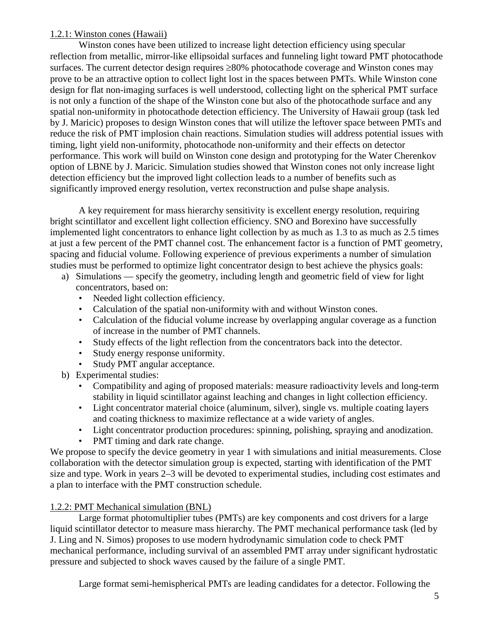### 1.2.1: Winston cones (Hawaii)

Winston cones have been utilized to increase light detection efficiency using specular reflection from metallic, mirror-like ellipsoidal surfaces and funneling light toward PMT photocathode surfaces. The current detector design requires ≥80% photocathode coverage and Winston cones may prove to be an attractive option to collect light lost in the spaces between PMTs. While Winston cone design for flat non-imaging surfaces is well understood, collecting light on the spherical PMT surface is not only a function of the shape of the Winston cone but also of the photocathode surface and any spatial non-uniformity in photocathode detection efficiency. The University of Hawaii group (task led by J. Maricic) proposes to design Winston cones that will utilize the leftover space between PMTs and reduce the risk of PMT implosion chain reactions. Simulation studies will address potential issues with timing, light yield non-uniformity, photocathode non-uniformity and their effects on detector performance. This work will build on Winston cone design and prototyping for the Water Cherenkov option of LBNE by J. Maricic. Simulation studies showed that Winston cones not only increase light detection efficiency but the improved light collection leads to a number of benefits such as significantly improved energy resolution, vertex reconstruction and pulse shape analysis.

A key requirement for mass hierarchy sensitivity is excellent energy resolution, requiring bright scintillator and excellent light collection efficiency. SNO and Borexino have successfully implemented light concentrators to enhance light collection by as much as 1.3 to as much as 2.5 times at just a few percent of the PMT channel cost. The enhancement factor is a function of PMT geometry, spacing and fiducial volume. Following experience of previous experiments a number of simulation studies must be performed to optimize light concentrator design to best achieve the physics goals:

- a) Simulations specify the geometry, including length and geometric field of view for light concentrators, based on:
	- Needed light collection efficiency.
	- Calculation of the spatial non-uniformity with and without Winston cones.
	- Calculation of the fiducial volume increase by overlapping angular coverage as a function of increase in the number of PMT channels.
	- Study effects of the light reflection from the concentrators back into the detector.
	- Study energy response uniformity.
	- Study PMT angular acceptance.
- b) Experimental studies:
	- Compatibility and aging of proposed materials: measure radioactivity levels and long-term stability in liquid scintillator against leaching and changes in light collection efficiency.
	- Light concentrator material choice (aluminum, silver), single vs. multiple coating layers and coating thickness to maximize reflectance at a wide variety of angles.
	- Light concentrator production procedures: spinning, polishing, spraying and anodization.
	- PMT timing and dark rate change.

We propose to specify the device geometry in year 1 with simulations and initial measurements. Close collaboration with the detector simulation group is expected, starting with identification of the PMT size and type. Work in years 2–3 will be devoted to experimental studies, including cost estimates and a plan to interface with the PMT construction schedule.

## 1.2.2: PMT Mechanical simulation (BNL)

Large format photomultiplier tubes (PMTs) are key components and cost drivers for a large liquid scintillator detector to measure mass hierarchy. The PMT mechanical performance task (led by J. Ling and N. Simos) proposes to use modern hydrodynamic simulation code to check PMT mechanical performance, including survival of an assembled PMT array under significant hydrostatic pressure and subjected to shock waves caused by the failure of a single PMT.

Large format semi-hemispherical PMTs are leading candidates for a detector. Following the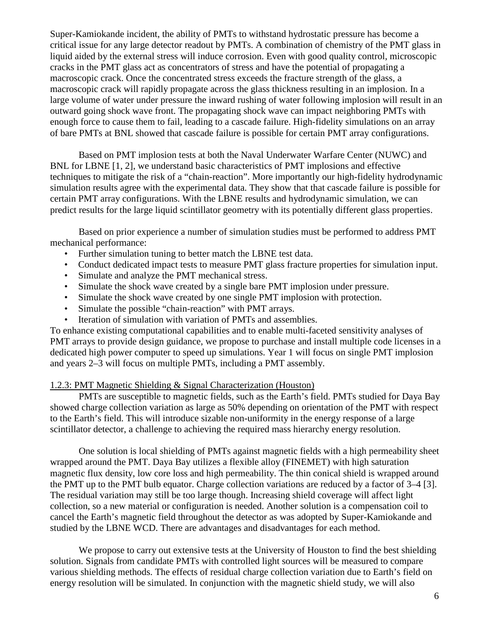Super-Kamiokande incident, the ability of PMTs to withstand hydrostatic pressure has become a critical issue for any large detector readout by PMTs. A combination of chemistry of the PMT glass in liquid aided by the external stress will induce corrosion. Even with good quality control, microscopic cracks in the PMT glass act as concentrators of stress and have the potential of propagating a macroscopic crack. Once the concentrated stress exceeds the fracture strength of the glass, a macroscopic crack will rapidly propagate across the glass thickness resulting in an implosion. In a large volume of water under pressure the inward rushing of water following implosion will result in an outward going shock wave front. The propagating shock wave can impact neighboring PMTs with enough force to cause them to fail, leading to a cascade failure. High-fidelity simulations on an array of bare PMTs at BNL showed that cascade failure is possible for certain PMT array configurations.

Based on PMT implosion tests at both the Naval Underwater Warfare Center (NUWC) and BNL for LBNE [1, 2], we understand basic characteristics of PMT implosions and effective techniques to mitigate the risk of a "chain-reaction". More importantly our high-fidelity hydrodynamic simulation results agree with the experimental data. They show that that cascade failure is possible for certain PMT array configurations. With the LBNE results and hydrodynamic simulation, we can predict results for the large liquid scintillator geometry with its potentially different glass properties.

Based on prior experience a number of simulation studies must be performed to address PMT mechanical performance:

- Further simulation tuning to better match the LBNE test data.
- Conduct dedicated impact tests to measure PMT glass fracture properties for simulation input.
- Simulate and analyze the PMT mechanical stress.
- Simulate the shock wave created by a single bare PMT implosion under pressure.
- Simulate the shock wave created by one single PMT implosion with protection.
- Simulate the possible "chain-reaction" with PMT arrays.
- Iteration of simulation with variation of PMTs and assemblies.

To enhance existing computational capabilities and to enable multi-faceted sensitivity analyses of PMT arrays to provide design guidance, we propose to purchase and install multiple code licenses in a dedicated high power computer to speed up simulations. Year 1 will focus on single PMT implosion and years 2–3 will focus on multiple PMTs, including a PMT assembly.

#### 1.2.3: PMT Magnetic Shielding & Signal Characterization (Houston)

PMTs are susceptible to magnetic fields, such as the Earth's field. PMTs studied for Daya Bay showed charge collection variation as large as 50% depending on orientation of the PMT with respect to the Earth's field. This will introduce sizable non-uniformity in the energy response of a large scintillator detector, a challenge to achieving the required mass hierarchy energy resolution.

One solution is local shielding of PMTs against magnetic fields with a high permeability sheet wrapped around the PMT. Daya Bay utilizes a flexible alloy (FINEMET) with high saturation magnetic flux density, low core loss and high permeability. The thin conical shield is wrapped around the PMT up to the PMT bulb equator. Charge collection variations are reduced by a factor of 3–4 [3]. The residual variation may still be too large though. Increasing shield coverage will affect light collection, so a new material or configuration is needed. Another solution is a compensation coil to cancel the Earth's magnetic field throughout the detector as was adopted by Super-Kamiokande and studied by the LBNE WCD. There are advantages and disadvantages for each method.

We propose to carry out extensive tests at the University of Houston to find the best shielding solution. Signals from candidate PMTs with controlled light sources will be measured to compare various shielding methods. The effects of residual charge collection variation due to Earth's field on energy resolution will be simulated. In conjunction with the magnetic shield study, we will also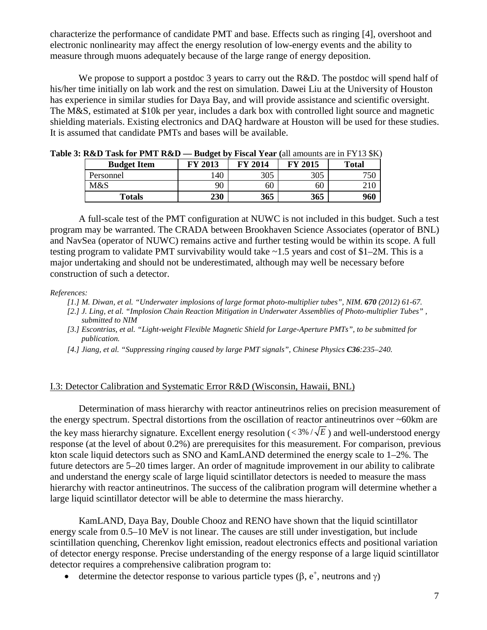characterize the performance of candidate PMT and base. Effects such as ringing [4], overshoot and electronic nonlinearity may affect the energy resolution of low-energy events and the ability to measure through muons adequately because of the large range of energy deposition.

We propose to support a postdoc 3 years to carry out the R&D. The postdoc will spend half of his/her time initially on lab work and the rest on simulation. Dawei Liu at the University of Houston has experience in similar studies for Daya Bay, and will provide assistance and scientific oversight. The M&S, estimated at \$10k per year, includes a dark box with controlled light source and magnetic shielding materials. Existing electronics and DAQ hardware at Houston will be used for these studies. It is assumed that candidate PMTs and bases will be available.

| . KWD 1098191 11911 KWD | <b>Duuget</b> by Thouar Tear (all allionites are in T T To $\phi$ ix) |                |                |              |
|-------------------------|-----------------------------------------------------------------------|----------------|----------------|--------------|
| <b>Budget Item</b>      | FY 2013                                                               | <b>FY 2014</b> | <b>FY 2015</b> | <b>Total</b> |
| Personnel               | 140                                                                   | 305            | 305            | 750          |
| M&S                     | 90                                                                    | 60             | 60             |              |
| <b>Totals</b>           | 230                                                                   | 365            | 365            | 960          |

**Table 3: R&D Task for PMT R&D — Budget by Fiscal Year (**all amounts are in FY13 \$K)

A full-scale test of the PMT configuration at NUWC is not included in this budget. Such a test program may be warranted. The CRADA between Brookhaven Science Associates (operator of BNL) and NavSea (operator of NUWC) remains active and further testing would be within its scope. A full testing program to validate PMT survivability would take ~1.5 years and cost of \$1–2M. This is a major undertaking and should not be underestimated, although may well be necessary before construction of such a detector.

*References:*

*[1.] M. Diwan, et al. "Underwater implosions of large format photo-multiplier tubes", NIM. 670 (2012) 61-67.*

- *[2.] J. Ling, et al. "Implosion Chain Reaction Mitigation in Underwater Assemblies of Photo-multiplier Tubes" , submitted to NIM*
- *[3.] Escontrias, et al. "Light-weight Flexible Magnetic Shield for Large-Aperture PMTs", to be submitted for publication.*
- *[4.] Jiang, et al. "Suppressing ringing caused by large PMT signals", Chinese Physics C36:235–240.*

## I.3: Detector Calibration and Systematic Error R&D (Wisconsin, Hawaii, BNL)

Determination of mass hierarchy with reactor antineutrinos relies on precision measurement of the energy spectrum. Spectral distortions from the oscillation of reactor antineutrinos over ~60km are the key mass hierarchy signature. Excellent energy resolution ( $\lt 3\% / \sqrt{E}$ ) and well-understood energy response (at the level of about 0.2%) are prerequisites for this measurement. For comparison, previous kton scale liquid detectors such as SNO and KamLAND determined the energy scale to 1–2%. The future detectors are 5–20 times larger. An order of magnitude improvement in our ability to calibrate and understand the energy scale of large liquid scintillator detectors is needed to measure the mass hierarchy with reactor antineutrinos. The success of the calibration program will determine whether a large liquid scintillator detector will be able to determine the mass hierarchy.

KamLAND, Daya Bay, Double Chooz and RENO have shown that the liquid scintillator energy scale from 0.5–10 MeV is not linear. The causes are still under investigation, but include scintillation quenching, Cherenkov light emission, readout electronics effects and positional variation of detector energy response. Precise understanding of the energy response of a large liquid scintillator detector requires a comprehensive calibration program to:

• determine the detector response to various particle types  $(\beta, e^+,$  neutrons and  $\gamma$ )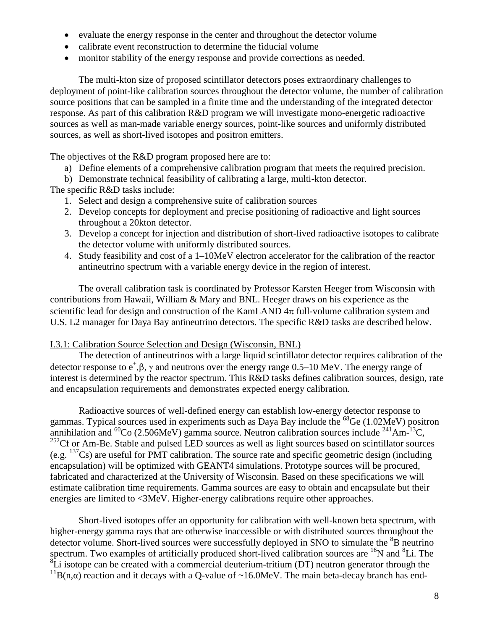- evaluate the energy response in the center and throughout the detector volume
- calibrate event reconstruction to determine the fiducial volume
- monitor stability of the energy response and provide corrections as needed.

The multi-kton size of proposed scintillator detectors poses extraordinary challenges to deployment of point-like calibration sources throughout the detector volume, the number of calibration source positions that can be sampled in a finite time and the understanding of the integrated detector response. As part of this calibration R&D program we will investigate mono-energetic radioactive sources as well as man-made variable energy sources, point-like sources and uniformly distributed sources, as well as short-lived isotopes and positron emitters.

The objectives of the R&D program proposed here are to:

- a) Define elements of a comprehensive calibration program that meets the required precision.
- b) Demonstrate technical feasibility of calibrating a large, multi-kton detector.

The specific R&D tasks include:

- 1. Select and design a comprehensive suite of calibration sources
- 2. Develop concepts for deployment and precise positioning of radioactive and light sources throughout a 20kton detector.
- 3. Develop a concept for injection and distribution of short-lived radioactive isotopes to calibrate the detector volume with uniformly distributed sources.
- 4. Study feasibility and cost of a 1–10MeV electron accelerator for the calibration of the reactor antineutrino spectrum with a variable energy device in the region of interest.

The overall calibration task is coordinated by Professor Karsten Heeger from Wisconsin with contributions from Hawaii, William & Mary and BNL. Heeger draws on his experience as the scientific lead for design and construction of the KamLAND  $4\pi$  full-volume calibration system and U.S. L2 manager for Daya Bay antineutrino detectors. The specific R&D tasks are described below.

#### I.3.1: Calibration Source Selection and Design (Wisconsin, BNL)

The detection of antineutrinos with a large liquid scintillator detector requires calibration of the detector response to  $e^{\dagger}, \beta, \gamma$  and neutrons over the energy range 0.5–10 MeV. The energy range of interest is determined by the reactor spectrum. This R&D tasks defines calibration sources, design, rate and encapsulation requirements and demonstrates expected energy calibration.

Radioactive sources of well-defined energy can establish low-energy detector response to gammas. Typical sources used in experiments such as Daya Bay include the <sup>68</sup>Ge (1.02MeV) positron annihilation and <sup>60</sup>Co (2.506MeV) gamma source. Neutron calibration sources include <sup>241</sup>Am-<sup>13</sup>C,  $^{252}$ Cf or Am-Be. Stable and pulsed LED sources as well as light sources based on scintillator sources (e.g.  $^{137}Cs$ ) are useful for PMT calibration. The source rate and specific geometric design (including encapsulation) will be optimized with GEANT4 simulations. Prototype sources will be procured, fabricated and characterized at the University of Wisconsin. Based on these specifications we will estimate calibration time requirements. Gamma sources are easy to obtain and encapsulate but their energies are limited to <3MeV. Higher-energy calibrations require other approaches.

Short-lived isotopes offer an opportunity for calibration with well-known beta spectrum, with higher-energy gamma rays that are otherwise inaccessible or with distributed sources throughout the detector volume. Short-lived sources were successfully deployed in SNO to simulate the <sup>8</sup>B neutrino spectrum. Two examples of artificially produced short-lived calibration sources are  $^{16}N$  and  $^{8}Li$ . The  ${}^{8}$ Li isotope can be created with a commercial deuterium-tritium (DT) neutron generator through the <sup>11</sup>B(n, $\alpha$ ) reaction and it decays with a Q-value of ~16.0MeV. The main beta-decay branch has end-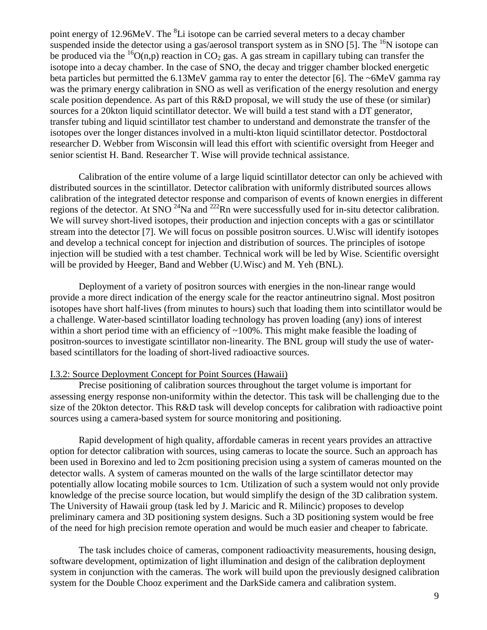point energy of 12.96MeV. The <sup>8</sup>Li isotope can be carried several meters to a decay chamber suspended inside the detector using a gas/aerosol transport system as in SNO [5]. The  $^{16}$ N isotope can be produced via the <sup>16</sup>O(n,p) reaction in CO<sub>2</sub> gas. A gas stream in capillary tubing can transfer the isotope into a decay chamber. In the case of SNO, the decay and trigger chamber blocked energetic beta particles but permitted the 6.13MeV gamma ray to enter the detector [6]. The ~6MeV gamma ray was the primary energy calibration in SNO as well as verification of the energy resolution and energy scale position dependence. As part of this R&D proposal, we will study the use of these (or similar) sources for a 20kton liquid scintillator detector. We will build a test stand with a DT generator, transfer tubing and liquid scintillator test chamber to understand and demonstrate the transfer of the isotopes over the longer distances involved in a multi-kton liquid scintillator detector. Postdoctoral researcher D. Webber from Wisconsin will lead this effort with scientific oversight from Heeger and senior scientist H. Band. Researcher T. Wise will provide technical assistance.

Calibration of the entire volume of a large liquid scintillator detector can only be achieved with distributed sources in the scintillator. Detector calibration with uniformly distributed sources allows calibration of the integrated detector response and comparison of events of known energies in different regions of the detector. At SNO <sup>24</sup>Na and <sup>222</sup>Rn were successfully used for in-situ detector calibration. We will survey short-lived isotopes, their production and injection concepts with a gas or scintillator stream into the detector [7]. We will focus on possible positron sources. U.Wisc will identify isotopes and develop a technical concept for injection and distribution of sources. The principles of isotope injection will be studied with a test chamber. Technical work will be led by Wise. Scientific oversight will be provided by Heeger, Band and Webber (U.Wisc) and M. Yeh (BNL).

Deployment of a variety of positron sources with energies in the non-linear range would provide a more direct indication of the energy scale for the reactor antineutrino signal. Most positron isotopes have short half-lives (from minutes to hours) such that loading them into scintillator would be a challenge. Water-based scintillator loading technology has proven loading (any) ions of interest within a short period time with an efficiency of  $\sim$ 100%. This might make feasible the loading of positron-sources to investigate scintillator non-linearity. The BNL group will study the use of waterbased scintillators for the loading of short-lived radioactive sources.

#### I.3.2: Source Deployment Concept for Point Sources (Hawaii)

Precise positioning of calibration sources throughout the target volume is important for assessing energy response non-uniformity within the detector. This task will be challenging due to the size of the 20kton detector. This R&D task will develop concepts for calibration with radioactive point sources using a camera-based system for source monitoring and positioning.

Rapid development of high quality, affordable cameras in recent years provides an attractive option for detector calibration with sources, using cameras to locate the source. Such an approach has been used in Borexino and led to 2cm positioning precision using a system of cameras mounted on the detector walls. A system of cameras mounted on the walls of the large scintillator detector may potentially allow locating mobile sources to 1cm. Utilization of such a system would not only provide knowledge of the precise source location, but would simplify the design of the 3D calibration system. The University of Hawaii group (task led by J. Maricic and R. Milincic) proposes to develop preliminary camera and 3D positioning system designs. Such a 3D positioning system would be free of the need for high precision remote operation and would be much easier and cheaper to fabricate.

The task includes choice of cameras, component radioactivity measurements, housing design, software development, optimization of light illumination and design of the calibration deployment system in conjunction with the cameras. The work will build upon the previously designed calibration system for the Double Chooz experiment and the DarkSide camera and calibration system.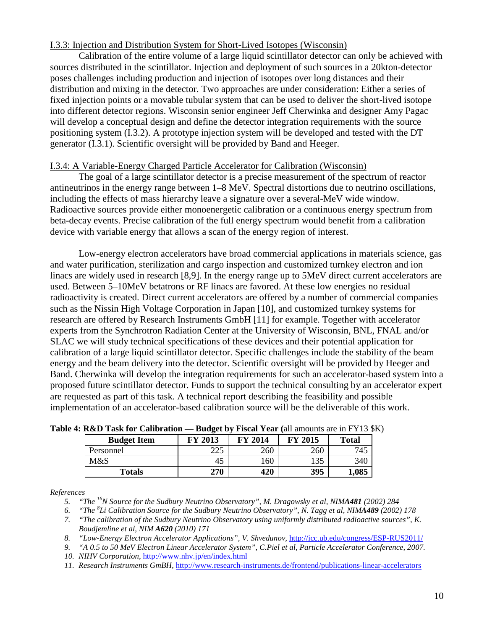#### I.3.3: Injection and Distribution System for Short-Lived Isotopes (Wisconsin)

Calibration of the entire volume of a large liquid scintillator detector can only be achieved with sources distributed in the scintillator. Injection and deployment of such sources in a 20kton-detector poses challenges including production and injection of isotopes over long distances and their distribution and mixing in the detector. Two approaches are under consideration: Either a series of fixed injection points or a movable tubular system that can be used to deliver the short-lived isotope into different detector regions. Wisconsin senior engineer Jeff Cherwinka and designer Amy Pagac will develop a conceptual design and define the detector integration requirements with the source positioning system (I.3.2). A prototype injection system will be developed and tested with the DT generator (I.3.1). Scientific oversight will be provided by Band and Heeger.

### I.3.4: A Variable-Energy Charged Particle Accelerator for Calibration (Wisconsin)

The goal of a large scintillator detector is a precise measurement of the spectrum of reactor antineutrinos in the energy range between 1–8 MeV. Spectral distortions due to neutrino oscillations, including the effects of mass hierarchy leave a signature over a several-MeV wide window. Radioactive sources provide either monoenergetic calibration or a continuous energy spectrum from beta-decay events. Precise calibration of the full energy spectrum would benefit from a calibration device with variable energy that allows a scan of the energy region of interest.

Low-energy electron accelerators have broad commercial applications in materials science, gas and water purification, sterilization and cargo inspection and customized turnkey electron and ion linacs are widely used in research [8,9]. In the energy range up to 5MeV direct current accelerators are used. Between 5–10MeV betatrons or RF linacs are favored. At these low energies no residual radioactivity is created. Direct current accelerators are offered by a number of commercial companies such as the Nissin High Voltage Corporation in Japan [10], and customized turnkey systems for research are offered by Research Instruments GmbH [11] for example. Together with accelerator experts from the Synchrotron Radiation Center at the University of Wisconsin, BNL, FNAL and/or SLAC we will study technical specifications of these devices and their potential application for calibration of a large liquid scintillator detector. Specific challenges include the stability of the beam energy and the beam delivery into the detector. Scientific oversight will be provided by Heeger and Band. Cherwinka will develop the integration requirements for such an accelerator-based system into a proposed future scintillator detector. Funds to support the technical consulting by an accelerator expert are requested as part of this task. A technical report describing the feasibility and possible implementation of an accelerator-based calibration source will be the deliverable of this work.

| <b>Budget Item</b> | FY 2013 | <b>FY 2014</b> | <b>FY 2015</b> | <b>Total</b> |
|--------------------|---------|----------------|----------------|--------------|
| Personnel          | 225     | 260            | 260            | 745          |
| M&S                | 40      | 160            | 135            | 340          |
| Totals             | 270     | 420            | 395            | 1,085        |

**Table 4: R&D Task for Calibration — Budget by Fiscal Year (**all amounts are in FY13 \$K)

*References*

*8. "Low-Energy Electron Accelerator Applications", V. Shvedunov,* <http://icc.ub.edu/congress/ESP-RUS2011/>

- *10. NIHV Corporation,* <http://www.nhv.jp/en/index.html>
- *11. Research Instruments GmBH,* <http://www.research-instruments.de/frontend/publications-linear-accelerators>

*<sup>5.</sup> "The 16N Source for the Sudbury Neutrino Observatory", M. Dragowsky et al, NIMA481 (2002) 284*

*<sup>6.</sup> "The <sup>8</sup> Li Calibration Source for the Sudbury Neutrino Observatory", N. Tagg et al, NIMA489 (2002) 178*

*<sup>7.</sup> "The calibration of the Sudbury Neutrino Observatory using uniformly distributed radioactive sources", K. Boudjemline et al, NIM A620 (2010) 171*

*<sup>9.</sup> "A 0.5 to 50 MeV Electron Linear Accelerator System", C.Piel et al, Particle Accelerator Conference, 2007.*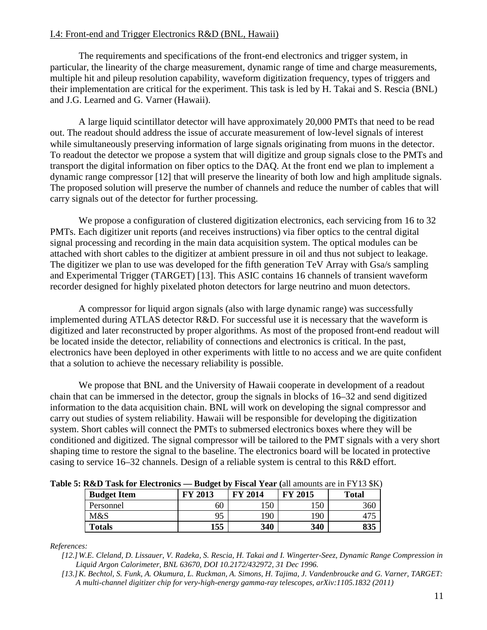## I.4: Front-end and Trigger Electronics R&D (BNL, Hawaii)

The requirements and specifications of the front-end electronics and trigger system, in particular, the linearity of the charge measurement, dynamic range of time and charge measurements, multiple hit and pileup resolution capability, waveform digitization frequency, types of triggers and their implementation are critical for the experiment. This task is led by H. Takai and S. Rescia (BNL) and J.G. Learned and G. Varner (Hawaii).

A large liquid scintillator detector will have approximately 20,000 PMTs that need to be read out. The readout should address the issue of accurate measurement of low-level signals of interest while simultaneously preserving information of large signals originating from muons in the detector. To readout the detector we propose a system that will digitize and group signals close to the PMTs and transport the digital information on fiber optics to the DAQ. At the front end we plan to implement a dynamic range compressor [12] that will preserve the linearity of both low and high amplitude signals. The proposed solution will preserve the number of channels and reduce the number of cables that will carry signals out of the detector for further processing.

We propose a configuration of clustered digitization electronics, each servicing from 16 to 32 PMTs. Each digitizer unit reports (and receives instructions) via fiber optics to the central digital signal processing and recording in the main data acquisition system. The optical modules can be attached with short cables to the digitizer at ambient pressure in oil and thus not subject to leakage. The digitizer we plan to use was developed for the fifth generation TeV Array with Gsa/s sampling and Experimental Trigger (TARGET) [13]. This ASIC contains 16 channels of transient waveform recorder designed for highly pixelated photon detectors for large neutrino and muon detectors.

A compressor for liquid argon signals (also with large dynamic range) was successfully implemented during ATLAS detector R&D. For successful use it is necessary that the waveform is digitized and later reconstructed by proper algorithms. As most of the proposed front-end readout will be located inside the detector, reliability of connections and electronics is critical. In the past, electronics have been deployed in other experiments with little to no access and we are quite confident that a solution to achieve the necessary reliability is possible.

We propose that BNL and the University of Hawaii cooperate in development of a readout chain that can be immersed in the detector, group the signals in blocks of 16–32 and send digitized information to the data acquisition chain. BNL will work on developing the signal compressor and carry out studies of system reliability. Hawaii will be responsible for developing the digitization system. Short cables will connect the PMTs to submersed electronics boxes where they will be conditioned and digitized. The signal compressor will be tailored to the PMT signals with a very short shaping time to restore the signal to the baseline. The electronics board will be located in protective casing to service 16–32 channels. Design of a reliable system is central to this R&D effort.

**Table 5: R&D Task for Electronics — Budget by Fiscal Year (**all amounts are in FY13 \$K)

| <b>Budget Item</b> | FY 2013 | <b>FY 2014</b> | FY 2015 | <b>Total</b> |
|--------------------|---------|----------------|---------|--------------|
| Personnel          | 60      | 150            | 150     | 360          |
| M&S                | 95      | 190            | 190     |              |
| <b>Totals</b>      | 155     | 340            | 340     | 835          |

*References:*

- *[12.] W.E. Cleland, D. Lissauer, V. Radeka, S. Rescia, H. Takai and I. Wingerter-Seez, Dynamic Range Compression in Liquid Argon Calorimeter, BNL 63670, DOI 10.2172/432972, 31 Dec 1996.*
- *[13.]K. Bechtol, S. Funk, A. Okumura, L. Ruckman, A. Simons, H. Tajima, J. Vandenbroucke and G. Varner, TARGET: A multi-channel digitizer chip for very-high-energy gamma-ray telescopes, arXiv:1105.1832 (2011)*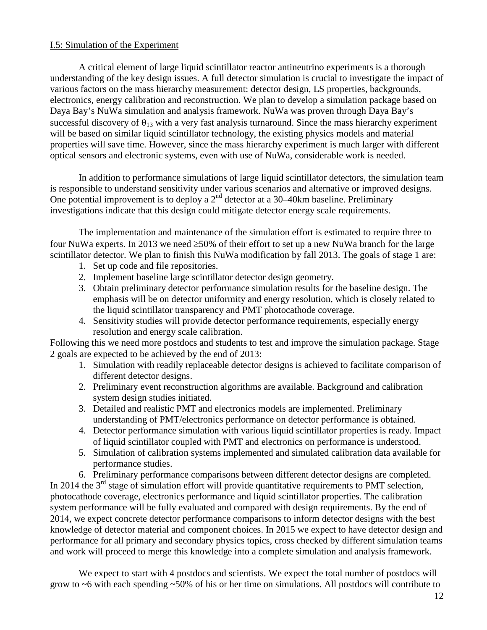## I.5: Simulation of the Experiment

A critical element of large liquid scintillator reactor antineutrino experiments is a thorough understanding of the key design issues. A full detector simulation is crucial to investigate the impact of various factors on the mass hierarchy measurement: detector design, LS properties, backgrounds, electronics, energy calibration and reconstruction. We plan to develop a simulation package based on Daya Bay's NuWa simulation and analysis framework. NuWa was proven through Daya Bay's successful discovery of  $\theta_{13}$  with a very fast analysis turnaround. Since the mass hierarchy experiment will be based on similar liquid scintillator technology, the existing physics models and material properties will save time. However, since the mass hierarchy experiment is much larger with different optical sensors and electronic systems, even with use of NuWa, considerable work is needed.

In addition to performance simulations of large liquid scintillator detectors, the simulation team is responsible to understand sensitivity under various scenarios and alternative or improved designs. One potential improvement is to deploy a  $2<sup>nd</sup>$  detector at a 30–40km baseline. Preliminary investigations indicate that this design could mitigate detector energy scale requirements.

The implementation and maintenance of the simulation effort is estimated to require three to four NuWa experts. In 2013 we need ≥50% of their effort to set up a new NuWa branch for the large scintillator detector. We plan to finish this NuWa modification by fall 2013. The goals of stage 1 are:

- 1. Set up code and file repositories.
- 2. Implement baseline large scintillator detector design geometry.
- 3. Obtain preliminary detector performance simulation results for the baseline design. The emphasis will be on detector uniformity and energy resolution, which is closely related to the liquid scintillator transparency and PMT photocathode coverage.
- 4. Sensitivity studies will provide detector performance requirements, especially energy resolution and energy scale calibration.

Following this we need more postdocs and students to test and improve the simulation package. Stage 2 goals are expected to be achieved by the end of 2013:

- 1. Simulation with readily replaceable detector designs is achieved to facilitate comparison of different detector designs.
- 2. Preliminary event reconstruction algorithms are available. Background and calibration system design studies initiated.
- 3. Detailed and realistic PMT and electronics models are implemented. Preliminary understanding of PMT/electronics performance on detector performance is obtained.
- 4. Detector performance simulation with various liquid scintillator properties is ready. Impact of liquid scintillator coupled with PMT and electronics on performance is understood.
- 5. Simulation of calibration systems implemented and simulated calibration data available for performance studies.

6. Preliminary performance comparisons between different detector designs are completed. In 2014 the  $3<sup>rd</sup>$  stage of simulation effort will provide quantitative requirements to PMT selection, photocathode coverage, electronics performance and liquid scintillator properties. The calibration system performance will be fully evaluated and compared with design requirements. By the end of 2014, we expect concrete detector performance comparisons to inform detector designs with the best knowledge of detector material and component choices. In 2015 we expect to have detector design and performance for all primary and secondary physics topics, cross checked by different simulation teams and work will proceed to merge this knowledge into a complete simulation and analysis framework.

We expect to start with 4 postdocs and scientists. We expect the total number of postdocs will grow to ~6 with each spending ~50% of his or her time on simulations. All postdocs will contribute to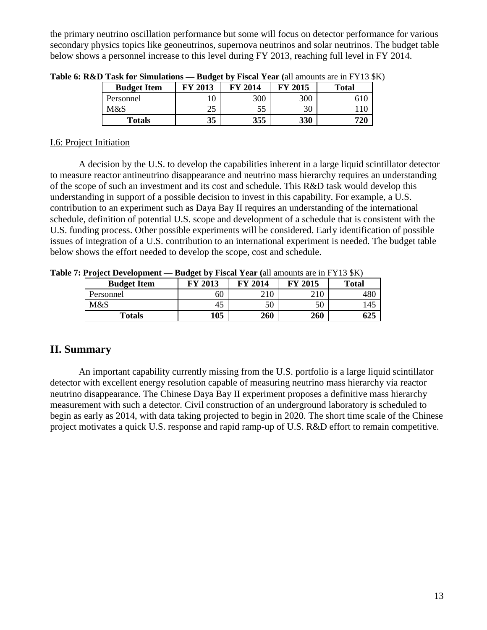the primary neutrino oscillation performance but some will focus on detector performance for various secondary physics topics like geoneutrinos, supernova neutrinos and solar neutrinos. The budget table below shows a personnel increase to this level during FY 2013, reaching full level in FY 2014.

| <b>Budget Item</b> | 2013           | FY 2014 | 2015<br>FV. | <b>Total</b> |
|--------------------|----------------|---------|-------------|--------------|
| Personnel          | l0             | 300     | 300         |              |
| M&S                | $\cap \subset$ |         | 30          |              |
| <b>Totals</b>      | 35             | 355     | 330         | 720          |

**Table 6: R&D Task for Simulations — Budget by Fiscal Year (**all amounts are in FY13 \$K)

## I.6: Project Initiation

A decision by the U.S. to develop the capabilities inherent in a large liquid scintillator detector to measure reactor antineutrino disappearance and neutrino mass hierarchy requires an understanding of the scope of such an investment and its cost and schedule. This R&D task would develop this understanding in support of a possible decision to invest in this capability. For example, a U.S. contribution to an experiment such as Daya Bay II requires an understanding of the international schedule, definition of potential U.S. scope and development of a schedule that is consistent with the U.S. funding process. Other possible experiments will be considered. Early identification of possible issues of integration of a U.S. contribution to an international experiment is needed. The budget table below shows the effort needed to develop the scope, cost and schedule.

**Table 7: Project Development — Budget by Fiscal Year (**all amounts are in FY13 \$K)

| <b>Budget Item</b> | 2013<br>FV | FV<br>$\sqrt{2014}$ | 2015<br>FV | <b>Total</b> |
|--------------------|------------|---------------------|------------|--------------|
| Personnel          | 60         | 210                 | 210        | 48C          |
| M&S                | 45         | 50                  | 50         | .45          |
| Totals             | 105        | 260                 | 260        | 625          |

## **II. Summary**

An important capability currently missing from the U.S. portfolio is a large liquid scintillator detector with excellent energy resolution capable of measuring neutrino mass hierarchy via reactor neutrino disappearance. The Chinese Daya Bay II experiment proposes a definitive mass hierarchy measurement with such a detector. Civil construction of an underground laboratory is scheduled to begin as early as 2014, with data taking projected to begin in 2020. The short time scale of the Chinese project motivates a quick U.S. response and rapid ramp-up of U.S. R&D effort to remain competitive.